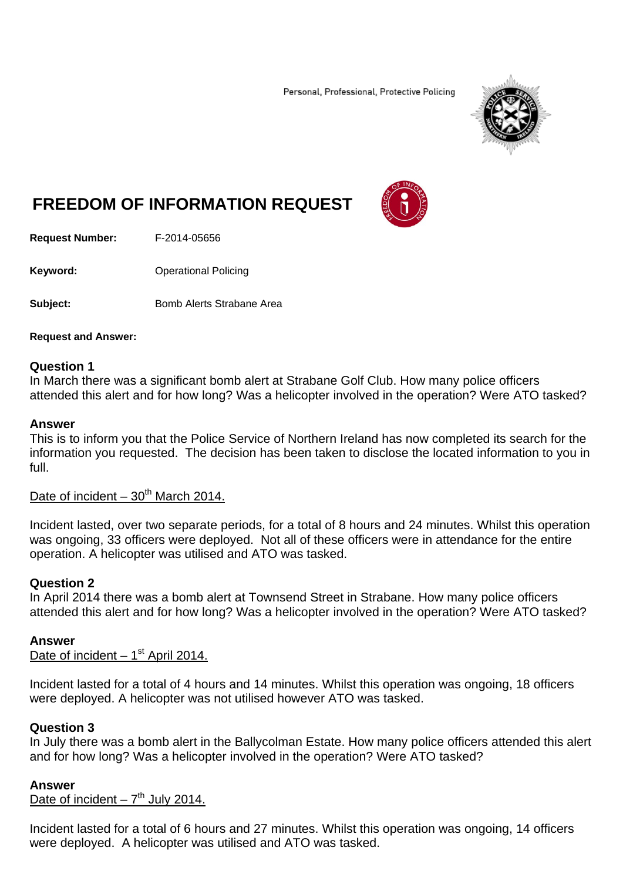Personal, Professional, Protective Policing



# **FREEDOM OF INFORMATION REQUEST**

**Request Number:** F-2014-05656

**Keyword: C**Derational Policing

**Subject: Bomb Alerts Strabane Area** 

#### **Request and Answer:**

#### **Question 1**

In March there was a significant bomb alert at Strabane Golf Club. How many police officers attended this alert and for how long? Was a helicopter involved in the operation? Were ATO tasked?

#### **Answer**

This is to inform you that the Police Service of Northern Ireland has now completed its search for the information you requested. The decision has been taken to disclose the located information to you in full.

# Date of incident  $-30^{th}$  March 2014.

Incident lasted, over two separate periods, for a total of 8 hours and 24 minutes. Whilst this operation was ongoing, 33 officers were deployed. Not all of these officers were in attendance for the entire operation. A helicopter was utilised and ATO was tasked.

## **Question 2**

In April 2014 there was a bomb alert at Townsend Street in Strabane. How many police officers attended this alert and for how long? Was a helicopter involved in the operation? Were ATO tasked?

#### **Answer**

Date of incident  $-1<sup>st</sup>$  April 2014.

Incident lasted for a total of 4 hours and 14 minutes. Whilst this operation was ongoing, 18 officers were deployed. A helicopter was not utilised however ATO was tasked.

#### **Question 3**

In July there was a bomb alert in the Ballycolman Estate. How many police officers attended this alert and for how long? Was a helicopter involved in the operation? Were ATO tasked?

#### **Answer**

Date of incident  $-7<sup>th</sup>$  July 2014.

Incident lasted for a total of 6 hours and 27 minutes. Whilst this operation was ongoing, 14 officers were deployed. A helicopter was utilised and ATO was tasked.